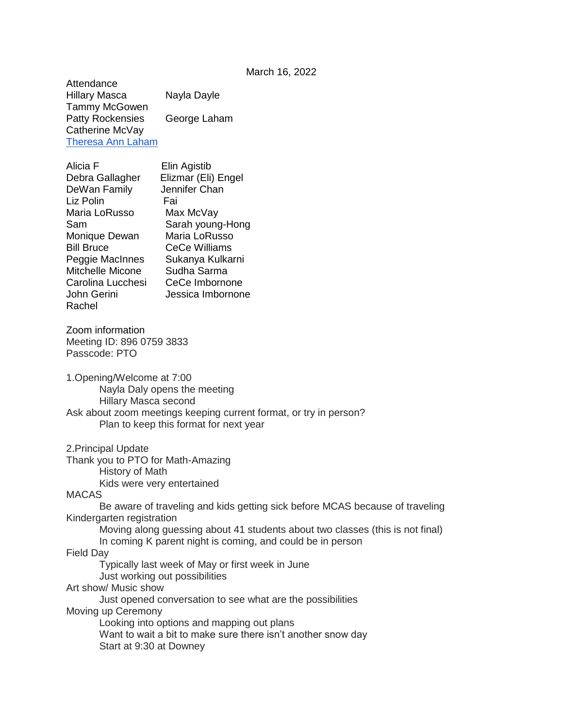**Attendance** Hillary Masca Nayla Dayle Tammy McGowen Patty Rockensies George Laham Catherine McVay [Theresa Ann Laham](mailto:theresaannlaham@gmail.com)

| Alicia F          | Elin Agistib         |
|-------------------|----------------------|
| Debra Gallagher   | Elizmar (Eli) Engel  |
| DeWan Family      | Jennifer Chan        |
| Liz Polin         | Fai                  |
| Maria LoRusso     | Max McVay            |
| Sam               | Sarah young-Hong     |
| Monique Dewan     | Maria LoRusso        |
| <b>Bill Bruce</b> | <b>CeCe Williams</b> |
| Peggie MacInnes   | Sukanya Kulkarni     |
| Mitchelle Micone  | Sudha Sarma          |
| Carolina Lucchesi | CeCe Imbornone       |
| John Gerini       | Jessica Imbornone    |
| Rachel            |                      |

Zoom information Meeting ID: 896 0759 3833 Passcode: PTO

1.Opening/Welcome at 7:00 Nayla Daly opens the meeting Hillary Masca second Ask about zoom meetings keeping current format, or try in person? Plan to keep this format for next year

2.Principal Update

Thank you to PTO for Math-Amazing History of Math Kids were very entertained

MACAS

Be aware of traveling and kids getting sick before MCAS because of traveling Kindergarten registration

Moving along guessing about 41 students about two classes (this is not final) In coming K parent night is coming, and could be in person

Field Day

Typically last week of May or first week in June

Just working out possibilities

Art show/ Music show

Just opened conversation to see what are the possibilities Moving up Ceremony

Looking into options and mapping out plans

Want to wait a bit to make sure there isn't another snow day

Start at 9:30 at Downey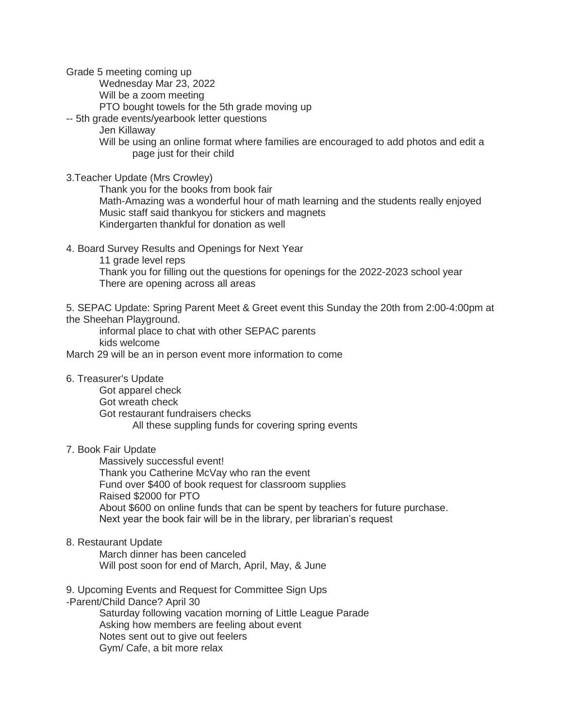Grade 5 meeting coming up

Wednesday Mar 23, 2022

Will be a zoom meeting

PTO bought towels for the 5th grade moving up

-- 5th grade events/yearbook letter questions

Jen Killaway

Will be using an online format where families are encouraged to add photos and edit a page just for their child

3.Teacher Update (Mrs Crowley)

Thank you for the books from book fair Math-Amazing was a wonderful hour of math learning and the students really enjoyed Music staff said thankyou for stickers and magnets Kindergarten thankful for donation as well

4. Board Survey Results and Openings for Next Year

11 grade level reps Thank you for filling out the questions for openings for the 2022-2023 school year There are opening across all areas

5. SEPAC Update: Spring Parent Meet & Greet event this Sunday the 20th from 2:00-4:00pm at the Sheehan Playground.

informal place to chat with other SEPAC parents kids welcome

March 29 will be an in person event more information to come

## 6. Treasurer's Update

Got apparel check Got wreath check Got restaurant fundraisers checks All these suppling funds for covering spring events

## 7. Book Fair Update

Massively successful event! Thank you Catherine McVay who ran the event Fund over \$400 of book request for classroom supplies Raised \$2000 for PTO About \$600 on online funds that can be spent by teachers for future purchase. Next year the book fair will be in the library, per librarian's request

## 8. Restaurant Update

March dinner has been canceled Will post soon for end of March, April, May, & June

9. Upcoming Events and Request for Committee Sign Ups

-Parent/Child Dance? April 30

Saturday following vacation morning of Little League Parade Asking how members are feeling about event Notes sent out to give out feelers Gym/ Cafe, a bit more relax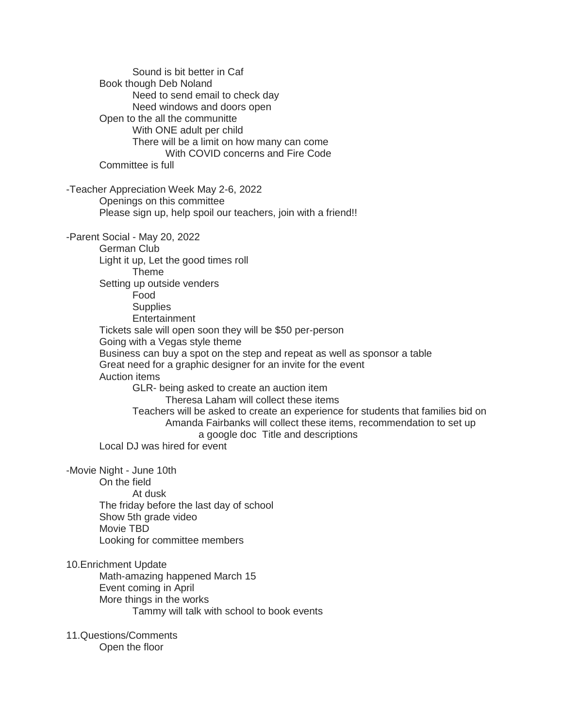Sound is bit better in Caf Book though Deb Noland Need to send email to check day Need windows and doors open Open to the all the communitte With ONE adult per child There will be a limit on how many can come With COVID concerns and Fire Code Committee is full -Teacher Appreciation Week May 2-6, 2022 Openings on this committee Please sign up, help spoil our teachers, join with a friend!! -Parent Social - May 20, 2022 German Club Light it up, Let the good times roll Theme Setting up outside venders Food **Supplies Entertainment** Tickets sale will open soon they will be \$50 per-person Going with a Vegas style theme Business can buy a spot on the step and repeat as well as sponsor a table Great need for a graphic designer for an invite for the event Auction items GLR- being asked to create an auction item Theresa Laham will collect these items Teachers will be asked to create an experience for students that families bid on Amanda Fairbanks will collect these items, recommendation to set up a google doc Title and descriptions Local DJ was hired for event -Movie Night - June 10th On the field At dusk The friday before the last day of school Show 5th grade video Movie TBD Looking for committee members 10.Enrichment Update Math-amazing happened March 15 Event coming in April More things in the works Tammy will talk with school to book events 11.Questions/Comments Open the floor